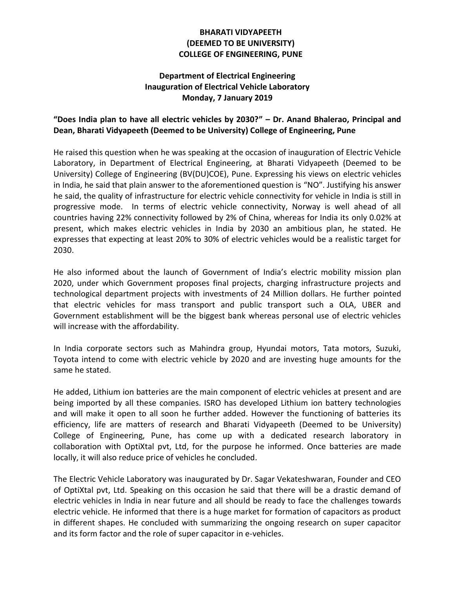## **BHARATI VIDYAPEETH (DEEMED TO BE UNIVERSITY) COLLEGE OF ENGINEERING, PUNE**

## **Department of Electrical Engineering Inauguration of Electrical Vehicle Laboratory Monday, 7 January 2019**

## **"Does India plan to have all electric vehicles by 2030?" – Dr. Anand Bhalerao, Principal and Dean, Bharati Vidyapeeth (Deemed to be University) College of Engineering, Pune**

He raised this question when he was speaking at the occasion of inauguration of Electric Vehicle Laboratory, in Department of Electrical Engineering, at Bharati Vidyapeeth (Deemed to be University) College of Engineering (BV(DU)COE), Pune. Expressing his views on electric vehicles in India, he said that plain answer to the aforementioned question is "NO". Justifying his answer he said, the quality of infrastructure for electric vehicle connectivity for vehicle in India is still in progressive mode. In terms of electric vehicle connectivity, Norway is well ahead of all countries having 22% connectivity followed by 2% of China, whereas for India its only 0.02% at present, which makes electric vehicles in India by 2030 an ambitious plan, he stated. He expresses that expecting at least 20% to 30% of electric vehicles would be a realistic target for 2030.

He also informed about the launch of Government of India's electric mobility mission plan 2020, under which Government proposes final projects, charging infrastructure projects and technological department projects with investments of 24 Million dollars. He further pointed that electric vehicles for mass transport and public transport such a OLA, UBER and Government establishment will be the biggest bank whereas personal use of electric vehicles will increase with the affordability.

In India corporate sectors such as Mahindra group, Hyundai motors, Tata motors, Suzuki, Toyota intend to come with electric vehicle by 2020 and are investing huge amounts for the same he stated.

He added, Lithium ion batteries are the main component of electric vehicles at present and are being imported by all these companies. ISRO has developed Lithium ion battery technologies and will make it open to all soon he further added. However the functioning of batteries its efficiency, life are matters of research and Bharati Vidyapeeth (Deemed to be University) College of Engineering, Pune, has come up with a dedicated research laboratory in collaboration with OptiXtal pvt, Ltd, for the purpose he informed. Once batteries are made locally, it will also reduce price of vehicles he concluded.

The Electric Vehicle Laboratory was inaugurated by Dr. Sagar Vekateshwaran, Founder and CEO of OptiXtal pvt, Ltd. Speaking on this occasion he said that there will be a drastic demand of electric vehicles in India in near future and all should be ready to face the challenges towards electric vehicle. He informed that there is a huge market for formation of capacitors as product in different shapes. He concluded with summarizing the ongoing research on super capacitor and its form factor and the role of super capacitor in e-vehicles.